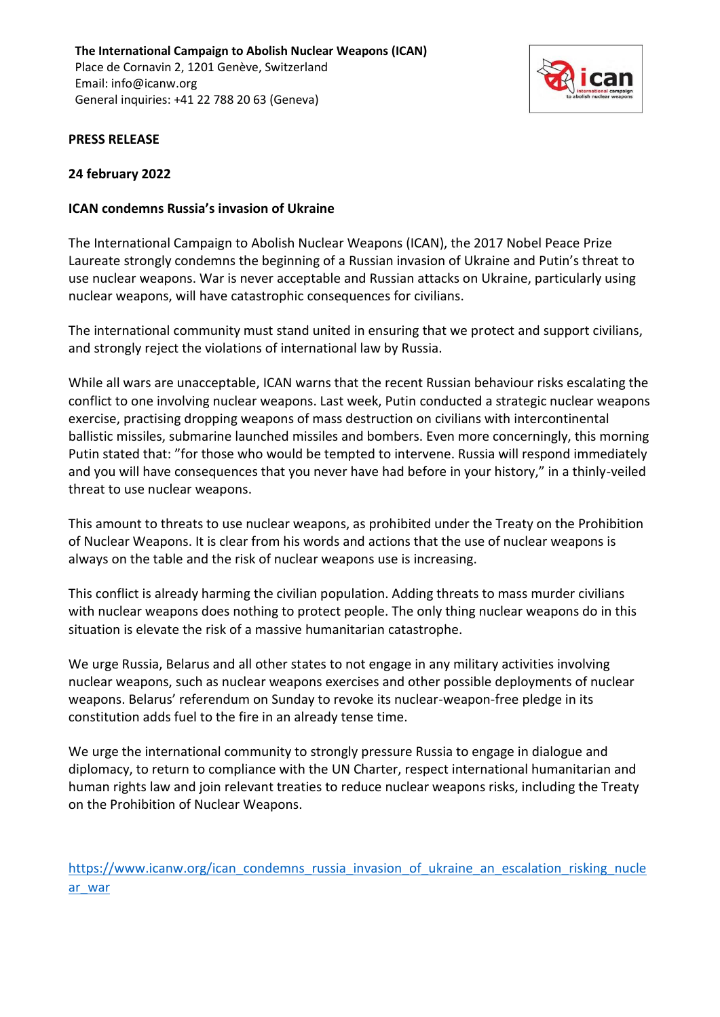**The International Campaign to Abolish Nuclear Weapons (ICAN)** Place de Cornavin 2, 1201 Genève, Switzerland Email: info@icanw.org General inquiries: +41 22 788 20 63 (Geneva)



# **PRESS RELEASE**

# **24 february 2022**

## **ICAN condemns Russia's invasion of Ukraine**

The International Campaign to Abolish Nuclear Weapons (ICAN), the 2017 Nobel Peace Prize Laureate strongly condemns the beginning of a Russian invasion of Ukraine and Putin's threat to use nuclear weapons. War is never acceptable and Russian attacks on Ukraine, particularly using nuclear weapons, will have catastrophic consequences for civilians.

The international community must stand united in ensuring that we protect and support civilians, and strongly reject the violations of international law by Russia.

While all wars are unacceptable, ICAN warns that the recent Russian behaviour risks escalating the conflict to one involving nuclear weapons. Last week, Putin conducted a strategic nuclear weapons exercise, practising dropping weapons of mass destruction on civilians with intercontinental ballistic missiles, submarine launched missiles and bombers. Even more concerningly, this morning Putin stated that: "for those who would be tempted to intervene. Russia will respond immediately and you will have consequences that you never have had before in your history," in a thinly-veiled threat to use nuclear weapons.

This amount to threats to use nuclear weapons, as prohibited under the Treaty on the Prohibition of Nuclear Weapons. It is clear from his words and actions that the use of nuclear weapons is always on the table and the risk of nuclear weapons use is increasing.

This conflict is already harming the civilian population. Adding threats to mass murder civilians with nuclear weapons does nothing to protect people. The only thing nuclear weapons do in this situation is elevate the risk of a massive humanitarian catastrophe.

We urge Russia, Belarus and all other states to not engage in any military activities involving nuclear weapons, such as nuclear weapons exercises and other possible deployments of nuclear weapons. Belarus' referendum on Sunday to revoke its nuclear-weapon-free pledge in its constitution adds fuel to the fire in an already tense time.

We urge the international community to strongly pressure Russia to engage in dialogue and diplomacy, to return to compliance with the UN Charter, respect international humanitarian and human rights law and join relevant treaties to reduce nuclear weapons risks, including the Treaty on the Prohibition of Nuclear Weapons.

[https://www.icanw.org/ican\\_condemns\\_russia\\_invasion\\_of\\_ukraine\\_an\\_escalation\\_risking\\_nucle](https://www.icanw.org/ican_condemns_russia_invasion_of_ukraine_an_escalation_risking_nuclear_war) [ar\\_war](https://www.icanw.org/ican_condemns_russia_invasion_of_ukraine_an_escalation_risking_nuclear_war)